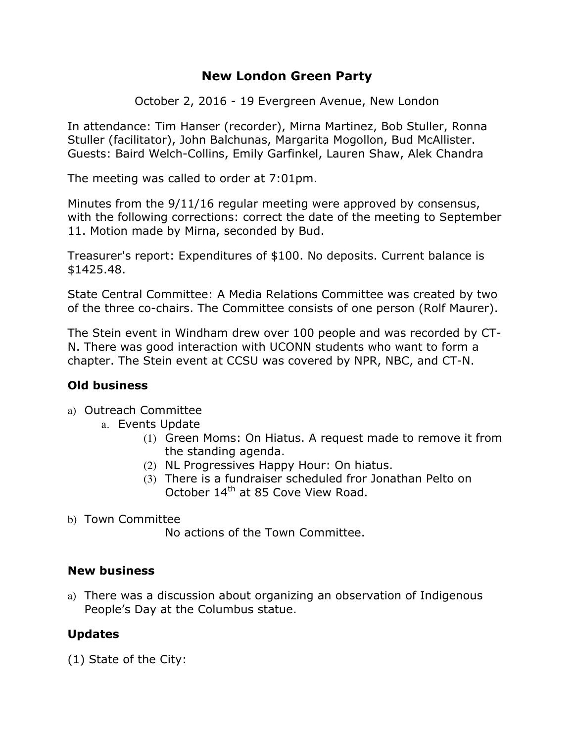# **New London Green Party**

October 2, 2016 - 19 Evergreen Avenue, New London

In attendance: Tim Hanser (recorder), Mirna Martinez, Bob Stuller, Ronna Stuller (facilitator), John Balchunas, Margarita Mogollon, Bud McAllister. Guests: Baird Welch-Collins, Emily Garfinkel, Lauren Shaw, Alek Chandra

The meeting was called to order at 7:01pm.

Minutes from the 9/11/16 regular meeting were approved by consensus, with the following corrections: correct the date of the meeting to September 11. Motion made by Mirna, seconded by Bud.

Treasurer's report: Expenditures of \$100. No deposits. Current balance is \$1425.48.

State Central Committee: A Media Relations Committee was created by two of the three co-chairs. The Committee consists of one person (Rolf Maurer).

The Stein event in Windham drew over 100 people and was recorded by CT-N. There was good interaction with UCONN students who want to form a chapter. The Stein event at CCSU was covered by NPR, NBC, and CT-N.

# **Old business**

- a) Outreach Committee
	- a. Events Update
		- (1) Green Moms: On Hiatus. A request made to remove it from the standing agenda.
		- (2) NL Progressives Happy Hour: On hiatus.
		- (3) There is a fundraiser scheduled fror Jonathan Pelto on October 14<sup>th</sup> at 85 Cove View Road.
- b) Town Committee

No actions of the Town Committee.

### **New business**

a) There was a discussion about organizing an observation of Indigenous People's Day at the Columbus statue.

### **Updates**

(1) State of the City: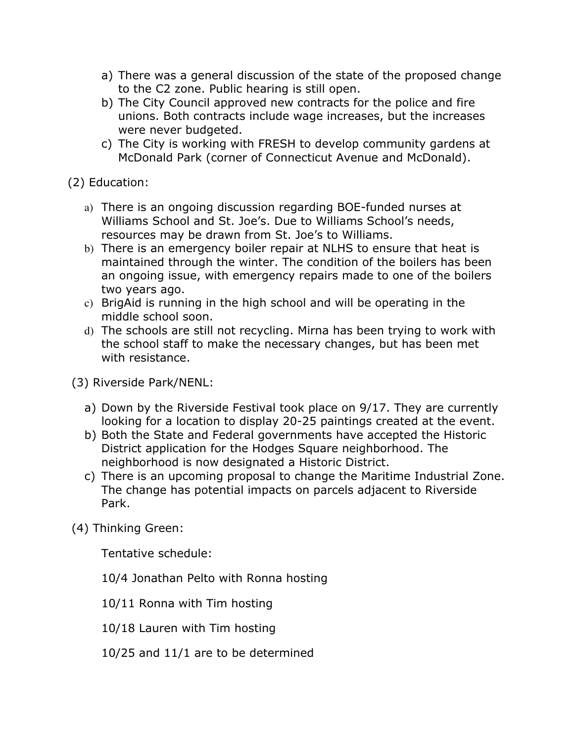- a) There was a general discussion of the state of the proposed change to the C2 zone. Public hearing is still open.
- b) The City Council approved new contracts for the police and fire unions. Both contracts include wage increases, but the increases were never budgeted.
- c) The City is working with FRESH to develop community gardens at McDonald Park (corner of Connecticut Avenue and McDonald).

(2) Education:

- a) There is an ongoing discussion regarding BOE-funded nurses at Williams School and St. Joe's. Due to Williams School's needs, resources may be drawn from St. Joe's to Williams.
- b) There is an emergency boiler repair at NLHS to ensure that heat is maintained through the winter. The condition of the boilers has been an ongoing issue, with emergency repairs made to one of the boilers two years ago.
- c) BrigAid is running in the high school and will be operating in the middle school soon.
- d) The schools are still not recycling. Mirna has been trying to work with the school staff to make the necessary changes, but has been met with resistance.

(3) Riverside Park/NENL:

- a) Down by the Riverside Festival took place on 9/17. They are currently looking for a location to display 20-25 paintings created at the event.
- b) Both the State and Federal governments have accepted the Historic District application for the Hodges Square neighborhood. The neighborhood is now designated a Historic District.
- c) There is an upcoming proposal to change the Maritime Industrial Zone. The change has potential impacts on parcels adjacent to Riverside Park.
- (4) Thinking Green:

Tentative schedule:

- 10/4 Jonathan Pelto with Ronna hosting
- 10/11 Ronna with Tim hosting
- 10/18 Lauren with Tim hosting
- 10/25 and 11/1 are to be determined